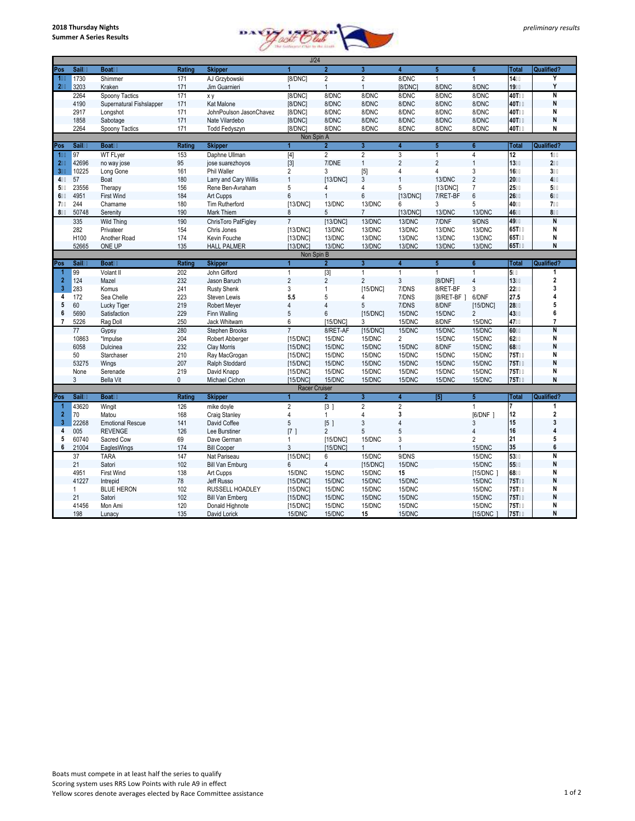

|                         | J/24       |                          |              |                         |                                                                                                                                                                                                                                                                                                                                                                                                                                                                                                                                                                         |                  |                         |                         |                  |                 |                |                         |
|-------------------------|------------|--------------------------|--------------|-------------------------|-------------------------------------------------------------------------------------------------------------------------------------------------------------------------------------------------------------------------------------------------------------------------------------------------------------------------------------------------------------------------------------------------------------------------------------------------------------------------------------------------------------------------------------------------------------------------|------------------|-------------------------|-------------------------|------------------|-----------------|----------------|-------------------------|
| Pos                     | Sail       | <b>Boat</b>              | Rating       | <b>Skipper</b>          | 1                                                                                                                                                                                                                                                                                                                                                                                                                                                                                                                                                                       | $\overline{2}$   | $\overline{3}$          | 4                       | $5\phantom{.0}$  | 6               | <b>Total</b>   | <b>Qualified?</b>       |
| 1                       | 1730       | Shimmer                  | 171          | AJ Grzybowski           | [8/DNC]                                                                                                                                                                                                                                                                                                                                                                                                                                                                                                                                                                 | $\overline{2}$   | $\overline{2}$          | 8/DNC                   | $\mathbf{1}$     | 1               | 14             | Y                       |
| $\overline{2}$          | 3203       | Kraken                   | 171          | Jim Guarnieri           | $\mathbf{1}$                                                                                                                                                                                                                                                                                                                                                                                                                                                                                                                                                            | $\mathbf{1}$     | $\mathbf{1}$            | [8/DNC]                 | 8/DNC            | 8/DNC           | 19             | Y                       |
|                         | 2264       | Spoony Tactics           | 171          | x y                     | [8/DNC]                                                                                                                                                                                                                                                                                                                                                                                                                                                                                                                                                                 | 8/DNC            | 8/DNC                   | 8/DNC                   | 8/DNC            | 8/DNC           | <b>40T</b>     | N                       |
|                         | 4190       | Supernatural Fishslapper | 171          | Kat Malone              | [8/DNC]                                                                                                                                                                                                                                                                                                                                                                                                                                                                                                                                                                 | 8/DNC            | 8/DNC                   | 8/DNC                   | 8/DNC            | 8/DNC           | 40T            | N                       |
|                         | 2917       | Lonashot                 | 171          | JohnPoulson JasonChavez | [8/DNC]                                                                                                                                                                                                                                                                                                                                                                                                                                                                                                                                                                 | 8/DNC            | 8/DNC                   | 8/DNC                   | 8/DNC            | 8/DNC           | 40T            | N                       |
|                         | 1858       | Sabotage                 | 171          | Nate Vilardebo          | [8/DNC]                                                                                                                                                                                                                                                                                                                                                                                                                                                                                                                                                                 | 8/DNC            | 8/DNC                   | 8/DNC                   | 8/DNC            | 8/DNC           | 40T            | N                       |
|                         | 2264       | Spoony Tactics           | 171          | Todd Fedyszyn           | [8/DNC]                                                                                                                                                                                                                                                                                                                                                                                                                                                                                                                                                                 | 8/DNC            | 8/DNC                   | 8/DNC                   | 8/DNC            | 8/DNC           | 40T            | N                       |
|                         | Non Spin A |                          |              |                         |                                                                                                                                                                                                                                                                                                                                                                                                                                                                                                                                                                         |                  |                         |                         |                  |                 |                |                         |
| Pos                     | Sail       | <b>Boat</b>              | Rating       | <b>Skipper</b>          | 1                                                                                                                                                                                                                                                                                                                                                                                                                                                                                                                                                                       | $\overline{2}$   | $\mathbf{3}$            | $\overline{\mathbf{4}}$ | 5 <sub>5</sub>   | $6\phantom{1}$  | Total          | Qualified?              |
| 1                       | 97         | <b>WT FLyer</b>          | 153          | Daphne Ullman           | $[4] % \begin{center} \includegraphics[width=\linewidth]{imagesSupplemental/Imetad-Architecture.png} \end{center} % \caption { % \textit{DefNet} and { \textit{DefNet}~Permitian} \textit{DefNet} and { \textit{DefNet}~Permitian} \textit{DefNet} and { \textit{DefNet}~Permitian} \textit{DefNet} and { \textit{DefNet}~Permitian} \textit{DefNet} and { \textit{DefNet}~Permitian} \textit{DefNet} and { \textit{DefNet}~Permitian} \textit{DefNet} and { \textit{DefNet}~Permitian} \textit{DefNet} and { \textit{DefNet}~Permitian} \textit{DefNet} and { \textit$ | $\overline{2}$   | $\overline{2}$          | 3                       | $\mathbf{1}$     | $\overline{4}$  | 12             | 1                       |
| $\mathbf 2$             | 42696      | no way jose              | 95           | jose suarezhoyos        | $[3]$                                                                                                                                                                                                                                                                                                                                                                                                                                                                                                                                                                   | 7/DNE            | $\mathbf{1}$            | $\overline{2}$          | $\overline{2}$   | $\mathbf{1}$    | 13             | $\overline{2}$          |
| $\overline{3}$          | 10225      | Long Gone                | 161          | <b>Phil Waller</b>      | $\overline{2}$                                                                                                                                                                                                                                                                                                                                                                                                                                                                                                                                                          | 3                | [5]                     | 4                       | 4                | 3               | 16             | 3                       |
| 4                       | 57         | Boat                     | 180          | Larry and Cary Willis   | $\overline{1}$                                                                                                                                                                                                                                                                                                                                                                                                                                                                                                                                                          | [13/DNC]         | 3                       | 1                       | 13/DNC           | $\overline{2}$  | 20             |                         |
| 5                       | 23556      | Therapy                  | 156          | Rene Ben-Avraham        | 5                                                                                                                                                                                                                                                                                                                                                                                                                                                                                                                                                                       | 4                | 4                       | 5                       | [13/DNC]         | $\overline{7}$  | 25             | 5                       |
| 6                       | 4951       | <b>First Wind</b>        | 184          | Art Cupps               | 6                                                                                                                                                                                                                                                                                                                                                                                                                                                                                                                                                                       | $\mathbf{1}$     | 6                       | [13/DNC]                | 7/RET-BF         | 6               | 26             | 6                       |
| $\overline{7}$          | 244        | Chamame                  | 180          | Tim Rutherford          | [13/DNC]                                                                                                                                                                                                                                                                                                                                                                                                                                                                                                                                                                | 13/DNC           | 13/DNC                  | 6                       | 3                | 5               | 40             | 7                       |
| 8                       | 50748      | Serenity                 | 190          | Mark Thiem              | 8                                                                                                                                                                                                                                                                                                                                                                                                                                                                                                                                                                       | 5                | $\overline{7}$          | [13/DNC]                | 13/DNC           | 13/DNC          | 46             | 8                       |
|                         | 335        | <b>Wild Thing</b>        | 190          | ChrisToro PatFigley     | $\overline{7}$                                                                                                                                                                                                                                                                                                                                                                                                                                                                                                                                                          | [13/DNC]         | 13/DNC                  | 13/DNC                  | 7/DNF            | 9/DNS           | 49             | Ñ                       |
|                         | 282        | Privateer                | 154          | Chris Jones             | [13/DNC]                                                                                                                                                                                                                                                                                                                                                                                                                                                                                                                                                                | 13/DNC           | 13/DNC                  | 13/DNC                  | 13/DNC           | 13/DNC          | 65T            | N                       |
|                         | H100       | Another Road             | 174          | Kevin Fouche            | [13/DNC]                                                                                                                                                                                                                                                                                                                                                                                                                                                                                                                                                                | 13/DNC           | 13/DNC                  | 13/DNC                  | 13/DNC           | 13/DNC          | 65T            | N                       |
|                         | 52665      | ONE UP                   | 135          | <b>HALL PALMER</b>      | [13/DNC]                                                                                                                                                                                                                                                                                                                                                                                                                                                                                                                                                                | 13/DNC           | 13/DNC                  | 13/DNC                  | 13/DNC           | 13/DNC          | 65T            | N                       |
|                         | Non Spin B |                          |              |                         |                                                                                                                                                                                                                                                                                                                                                                                                                                                                                                                                                                         |                  |                         |                         |                  |                 |                |                         |
| Pos                     | Sail       | <b>Boat</b>              | Rating       | <b>Skipper</b>          | 1                                                                                                                                                                                                                                                                                                                                                                                                                                                                                                                                                                       | $\overline{2}$   | $\overline{\mathbf{3}}$ | $\overline{4}$          | 5 <sup>2</sup>   | $6\overline{6}$ | <b>Total</b>   | Qualified?              |
| 1                       | 99         | Volant II                | 202          | John Gifford            | $\mathbf{1}$                                                                                                                                                                                                                                                                                                                                                                                                                                                                                                                                                            | $\boxed{3}$      | $\mathbf{1}$            | $\mathbf{1}$            | $\mathbf{1}$     | $\mathbf{1}$    | 5              | 1                       |
| $\overline{2}$          | 124        | Mazel                    | 232          | Jason Baruch            | $\overline{2}$                                                                                                                                                                                                                                                                                                                                                                                                                                                                                                                                                          | $\overline{2}$   | $\overline{2}$          | 3                       | [8/DNF]          | $\overline{4}$  | 13             | $\overline{\mathbf{c}}$ |
| $\overline{\mathbf{3}}$ | 283        | Komus                    | 241          | <b>Rusty Shenk</b>      | 3                                                                                                                                                                                                                                                                                                                                                                                                                                                                                                                                                                       | $\mathbf{1}$     | [15/DNC]                | 7/DNS                   | 8/RET-BF         | 3               | 22             | 3                       |
| 4                       | 172        | Sea Chelle               | 223          | Steven Lewis            | 5.5                                                                                                                                                                                                                                                                                                                                                                                                                                                                                                                                                                     | 5                | 4                       | 7/DNS                   | $[8/RET-BF]$     | 6/DNF           | 27.5           | 4                       |
| 5                       | 60         | Lucky Tiger              | 219          | <b>Robert Meyer</b>     | $\overline{4}$                                                                                                                                                                                                                                                                                                                                                                                                                                                                                                                                                          | $\overline{4}$   | 5                       | 7/DNS                   | 8/DNF            | [15/DNC]        | 28             | 5                       |
| 6                       | 5690       | Satisfaction             | 229          | Finn Walling            | 5                                                                                                                                                                                                                                                                                                                                                                                                                                                                                                                                                                       | $6\,$            | [15/DNC]                | 15/DNC                  | 15/DNC           | $\overline{2}$  | 43             | 6                       |
| $\overline{7}$          | 5226       | Rag Doll                 | 250          | Jack Whitwam            | 6                                                                                                                                                                                                                                                                                                                                                                                                                                                                                                                                                                       | [15/DNC]         | 3                       | 15/DNC                  | 8/DNF            | 15/DNC          | 47             | $\overline{7}$          |
|                         | 77         | Gypsy                    | 280          | Stephen Brooks          | $\overline{7}$                                                                                                                                                                                                                                                                                                                                                                                                                                                                                                                                                          | 8/RET-AF         | [15/DNC]                | 15/DNC                  | 15/DNC           | 15/DNC          | 60             | N                       |
|                         | 10863      | *Impulse                 | 204          | Robert Abberger         | [15/DNC]                                                                                                                                                                                                                                                                                                                                                                                                                                                                                                                                                                | 15/DNC           | 15/DNC                  | $\overline{2}$          | 15/DNC           | 15/DNC          | 62             | N                       |
|                         | 6058       | Dulcinea                 | 232          | <b>Clav Morris</b>      | [15/DNC]                                                                                                                                                                                                                                                                                                                                                                                                                                                                                                                                                                | 15/DNC           | 15/DNC                  | 15/DNC                  | 8/DNF            | 15/DNC          | 68             | N                       |
|                         | 50         | Starchaser               | 210          | Ray MacGrogan           | [15/DNC]                                                                                                                                                                                                                                                                                                                                                                                                                                                                                                                                                                | 15/DNC           | 15/DNC                  | 15/DNC                  | 15/DNC           | 15/DNC          | 75T            | N                       |
|                         | 53275      | Wings                    | 207          | Ralph Stoddard          | [15/DNC]                                                                                                                                                                                                                                                                                                                                                                                                                                                                                                                                                                | 15/DNC           | 15/DNC                  | 15/DNC                  | 15/DNC           | 15/DNC          | 75T            | N                       |
|                         | None       | Serenade                 | 219          | David Knapp             | [15/DNC]                                                                                                                                                                                                                                                                                                                                                                                                                                                                                                                                                                | 15/DNC           | 15/DNC                  | 15/DNC                  | 15/DNC           | 15/DNC          | 75T            | N                       |
|                         | 3          | <b>Bella Vit</b>         | $\mathbf{0}$ | Michael Cichon          | [15/DNC]                                                                                                                                                                                                                                                                                                                                                                                                                                                                                                                                                                | 15/DNC           | 15/DNC                  | 15/DNC                  | 15/DNC           | 15/DNC          | 75T            | N                       |
|                         |            |                          |              |                         | Racer Cruiser                                                                                                                                                                                                                                                                                                                                                                                                                                                                                                                                                           |                  |                         |                         |                  |                 |                |                         |
| Pos                     | Sail       | <b>Boat</b>              | Rating       | <b>Skipper</b>          | 1                                                                                                                                                                                                                                                                                                                                                                                                                                                                                                                                                                       | $\overline{2}$   | $\overline{\mathbf{3}}$ | $\overline{4}$          | $\overline{[5]}$ | $\overline{5}$  | <b>Total</b>   | <b>Qualified?</b>       |
| 1                       | 43620      | Wingit                   | 126          | mike doyle              | $\overline{2}$                                                                                                                                                                                                                                                                                                                                                                                                                                                                                                                                                          | $\left 3\right $ | $\overline{2}$          | $\overline{2}$          |                  | $\mathbf{1}$    | $\overline{7}$ | 1                       |
| $\overline{2}$          | 70         | Matou                    | 168          | Craig Stanley           | $\overline{4}$                                                                                                                                                                                                                                                                                                                                                                                                                                                                                                                                                          | 1                | 4                       | 3                       |                  | [6/DNF]         | 12             | $\overline{\mathbf{c}}$ |
| 3                       | 22268      | <b>Emotional Rescue</b>  | 141          | David Coffee            | 5                                                                                                                                                                                                                                                                                                                                                                                                                                                                                                                                                                       | [5]              | 3                       | $\overline{4}$          |                  | 3               | 15             | 3                       |
| $\overline{\mathbf{4}}$ | 005        | <b>REVENGE</b>           | 126          | Lee Burstiner           | $\overline{17}$                                                                                                                                                                                                                                                                                                                                                                                                                                                                                                                                                         | $\overline{2}$   | 5                       | 5                       |                  | $\overline{4}$  | 16             | $\overline{a}$          |
| 5                       | 60740      | Sacred Cow               | 69           | Dave German             | $\mathbf{1}$                                                                                                                                                                                                                                                                                                                                                                                                                                                                                                                                                            | [15/DNC]         | 15/DNC                  | 3                       |                  | $\overline{2}$  | 21             | 5                       |
| 6                       | 21004      | EaglesWings              | 174          | <b>Bill Cooper</b>      | 3                                                                                                                                                                                                                                                                                                                                                                                                                                                                                                                                                                       | [15/DNC]         | $\mathbf{1}$            | $\overline{1}$          |                  | 15/DNC          | 35             | 6                       |
|                         | 37         | <b>TARA</b>              | 147          | Nat Pariseau            | [15/DNC]                                                                                                                                                                                                                                                                                                                                                                                                                                                                                                                                                                | 6                | 15/DNC                  | 9/DNS                   |                  | 15/DNC          | 53             | N                       |
|                         | 21         | Satori                   | 102          | <b>Bill Van Emburg</b>  | 6                                                                                                                                                                                                                                                                                                                                                                                                                                                                                                                                                                       | $\overline{4}$   | [15/DNC]                | 15/DNC                  |                  | 15/DNC          | 55             | N                       |
|                         | 4951       | <b>First Wind</b>        | 138          | Art Cupps               | 15/DNC                                                                                                                                                                                                                                                                                                                                                                                                                                                                                                                                                                  | 15/DNC           | 15/DNC                  | 15                      |                  | [15/DNC ]       | 68             | N                       |
|                         | 41227      | Intrepid                 | 78           | Jeff Russo              | [15/DNC]                                                                                                                                                                                                                                                                                                                                                                                                                                                                                                                                                                | 15/DNC           | 15/DNC                  | 15/DNC                  |                  | 15/DNC          | <b>75T</b>     | N                       |
|                         | 1          | <b>BLUE HERON</b>        | 102          | RUSSELL HOADLEY         | [15/DNC]                                                                                                                                                                                                                                                                                                                                                                                                                                                                                                                                                                | 15/DNC           | 15/DNC                  | 15/DNC                  |                  | 15/DNC          | 75T            | N                       |
|                         | 21         | Satori                   | 102          | <b>Bill Van Emberg</b>  | [15/DNC]                                                                                                                                                                                                                                                                                                                                                                                                                                                                                                                                                                | 15/DNC           | 15/DNC                  | 15/DNC                  |                  | 15/DNC          | 75T            | N                       |
|                         | 41456      | Mon Ami                  | 120          | Donald Highnote         | [15/DNC]                                                                                                                                                                                                                                                                                                                                                                                                                                                                                                                                                                | 15/DNC           | 15/DNC                  | 15/DNC                  |                  | 15/DNC          | <b>75T</b>     | N                       |
|                         | 198        | Lunacy                   | 135          | David Lorick            | 15/DNC                                                                                                                                                                                                                                                                                                                                                                                                                                                                                                                                                                  | 15/DNC           | 15                      | 15/DNC                  |                  | [15/DNC]        | 75T            | N                       |
|                         |            |                          |              |                         |                                                                                                                                                                                                                                                                                                                                                                                                                                                                                                                                                                         |                  |                         |                         |                  |                 |                |                         |